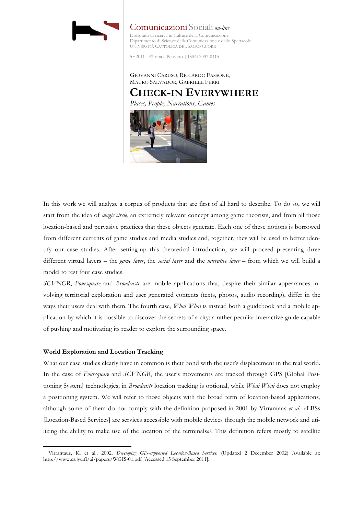

Comunicazioni Sociali *on-line* Dottorato di ricerca in Culture della Comunicazione Dipartimento di Scienze della Comunicazione e dello Spettacolo UNIVERSITÀ CATTOLICA DEL SACRO CUORE

5 • 2011 | © Vita e Pensiero | ISSN 2037-0415

GIOVANNI CARUSO, RICCARDO FASSONE, MAURO SALVADOR, GABRIELE FERRI **CHECK-IN EVERYWHERE**

*Places, People, Narrations, Games*



In this work we will analyze a corpus of products that are first of all hard to describe. To do so, we will start from the idea of *magic circle*, an extremely relevant concept among game theorists, and from all those location-based and pervasive practices that these objects generate. Each one of these notions is borrowed from different currents of game studies and media studies and, together, they will be used to better identify our case studies. After setting-up this theoretical introduction, we will proceed presenting three different virtual layers – the *game layer*, the *social layer* and the *narrative layer* – from which we will build a model to test four case studies.

*SCVNGR*, *Foursquare* and *Broadcastr* are mobile applications that, despite their similar appearances involving territorial exploration and user generated contents (texts, photos, audio recording), differ in the ways their users deal with them. The fourth case, *Whai Whai* is instead both a guidebook and a mobile application by which it is possible to discover the secrets of a city; a rather peculiar interactive guide capable of pushing and motivating its reader to explore the surrounding space.

# **World Exploration and Location Tracking**

 $\overline{a}$ 

What our case studies clearly have in common is their bond with the user's displacement in the real world. In the case of *Foursquare* and *SCVNGR*, the user's movements are tracked through GPS [Global Positioning System] technologies; in *Broadcastr* location tracking is optional, while *Whai Whai* does not employ a positioning system. We will refer to those objects with the broad term of location-based applications, although some of them do not comply with the definition proposed in 2001 by Virrantaus *et al*.: «LBSs [Location-Based Services] are services accessible with mobile devices through the mobile network and utilizing the ability to make use of the location of the terminals»1. This definition refers mostly to satellite

<sup>1</sup> Virrantaus, K. et al., 2002. *Developing GIS-supported Location-Based Services*. (Updated 2 December 2002) Available at: http://www.cs.jyu.fi/ai/papers/WGIS-01.pdf [Accessed 15 September 2011].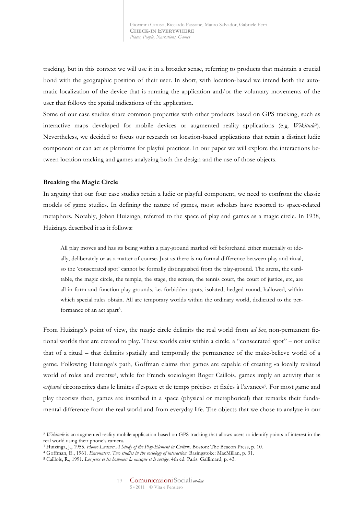tracking, but in this context we will use it in a broader sense, referring to products that maintain a crucial bond with the geographic position of their user. In short, with location-based we intend both the automatic localization of the device that is running the application and/or the voluntary movements of the user that follows the spatial indications of the application.

Some of our case studies share common properties with other products based on GPS tracking, such as interactive maps developed for mobile devices or augmented reality applications (e.g. *Wikitude*2). Nevertheless, we decided to focus our research on location-based applications that retain a distinct ludic component or can act as platforms for playful practices. In our paper we will explore the interactions between location tracking and games analyzing both the design and the use of those objects.

### **Breaking the Magic Circle**

 $\overline{a}$ 

In arguing that our four case studies retain a ludic or playful component, we need to confront the classic models of game studies. In defining the nature of games, most scholars have resorted to space-related metaphors. Notably, Johan Huizinga, referred to the space of play and games as a magic circle. In 1938, Huizinga described it as it follows:

All play moves and has its being within a play-ground marked off beforehand either materially or ideally, deliberately or as a matter of course. Just as there is no formal difference between play and ritual, so the 'consecrated spot' cannot be formally distinguished from the play-ground. The arena, the cardtable, the magic circle, the temple, the stage, the screen, the tennis court, the court of justice, etc, are all in form and function play-grounds, i.e. forbidden spots, isolated, hedged round, hallowed, within which special rules obtain. All are temporary worlds within the ordinary world, dedicated to the performance of an act apart<sup>3</sup>.

From Huizinga's point of view, the magic circle delimits the real world from *ad hoc*, non-permanent fictional worlds that are created to play. These worlds exist within a circle, a "consecrated spot" – not unlike that of a ritual – that delimits spatially and temporally the permanence of the make-believe world of a game. Following Huizinga's path, Goffman claims that games are capable of creating «a locally realized world of roles and events»4, while for French sociologist Roger Caillois, games imply an activity that is «*sépareé* circonscrites dans le limites d'espace et de temps précises et fixées à l'avance»5. For most game and play theorists then, games are inscribed in a space (physical or metaphorical) that remarks their fundamental difference from the real world and from everyday life. The objects that we chose to analyze in our

<sup>&</sup>lt;sup>2</sup> *Wikitude* is an augmented reality mobile application based on GPS tracking that allows users to identify points of interest in the real world using their phone's camera.

<sup>3</sup> Huizinga, J., 1955. *Homo Ludens: A Study of the Play-Element in Culture*. Boston: The Beacon Press, p. 10.

<sup>4</sup> Goffman, E., 1961. *Encounters. Two studies in the sociology of interaction*. Basingstoke: MacMillan, p. 31.

<sup>5</sup> Caillois, R., 1991. *Les jeux et les hommes: la masque et le vertige*. 4th ed. Paris: Gallimard, p. 43.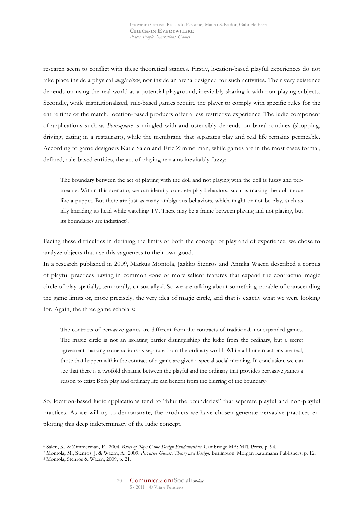research seem to conflict with these theoretical stances. Firstly, location-based playful experiences do not take place inside a physical *magic circle*, nor inside an arena designed for such activities. Their very existence depends on using the real world as a potential playground, inevitably sharing it with non-playing subjects. Secondly, while institutionalized, rule-based games require the player to comply with specific rules for the entire time of the match, location-based products offer a less restrictive experience. The ludic component of applications such as *Foursquare* is mingled with and ostensibly depends on banal routines (shopping, driving, eating in a restaurant), while the membrane that separates play and real life remains permeable. According to game designers Katie Salen and Eric Zimmerman, while games are in the most cases formal, defined, rule-based entities, the act of playing remains inevitably fuzzy:

The boundary between the act of playing with the doll and not playing with the doll is fuzzy and permeable. Within this scenario, we can identify concrete play behaviors, such as making the doll move like a puppet. But there are just as many ambiguous behaviors, which might or not be play, such as idly kneading its head while watching TV. There may be a frame between playing and not playing, but its boundaries are indistinct<sup>6</sup>.

Facing these difficulties in defining the limits of both the concept of play and of experience, we chose to analyze objects that use this vagueness to their own good.

In a research published in 2009, Markus Montola, Jaakko Stenros and Annika Waern described a corpus of playful practices having in common «one or more salient features that expand the contractual magic circle of play spatially, temporally, or socially»7. So we are talking about something capable of transcending the game limits or, more precisely, the very idea of magic circle, and that is exactly what we were looking for. Again, the three game scholars:

The contracts of pervasive games are different from the contracts of traditional, nonexpanded games. The magic circle is not an isolating barrier distinguishing the ludic from the ordinary, but a secret agreement marking some actions as separate from the ordinary world. While all human actions are real, those that happen within the contract of a game are given a special social meaning. In conclusion, we can see that there is a twofold dynamic between the playful and the ordinary that provides pervasive games a reason to exist: Both play and ordinary life can benefit from the blurring of the boundary8.

So, location-based ludic applications tend to "blur the boundaries" that separate playful and non-playful practices. As we will try to demonstrate, the products we have chosen generate pervasive practices exploiting this deep indeterminacy of the ludic concept.

<sup>6</sup> Salen, K. & Zimmerman, E., 2004. *Rules of Play: Game Design Fundamentals*. Cambridge MA: MIT Press, p. 94.

<sup>7</sup> Montola, M., Stenros, J. & Waern, A., 2009. *Pervasive Games. Theory and Design*. Burlington: Morgan Kaufmann Publishers, p. 12. 8 Montola, Stenros & Waern, 2009, p. 21.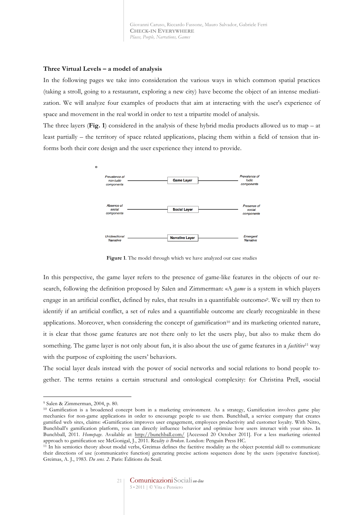## **Three Virtual Levels – a model of analysis**

In the following pages we take into consideration the various ways in which common spatial practices (taking a stroll, going to a restaurant, exploring a new city) have become the object of an intense mediatization. We will analyze four examples of products that aim at interacting with the user's experience of space and movement in the real world in order to test a tripartite model of analysis.

The three layers (**Fig. 1**) considered in the analysis of these hybrid media products allowed us to map – at least partially – the territory of space related applications, placing them within a field of tension that informs both their core design and the user experience they intend to provide.



**Figure 1**. The model through which we have analyzed our case studies

In this perspective, the game layer refers to the presence of game-like features in the objects of our research, following the definition proposed by Salen and Zimmerman: «A *game* is a system in which players engage in an artificial conflict, defined by rules, that results in a quantifiable outcome»9. We will try then to identify if an artificial conflict, a set of rules and a quantifiable outcome are clearly recognizable in these applications. Moreover, when considering the concept of gamification<sup>10</sup> and its marketing oriented nature, it is clear that those game features are not there only to let the users play, but also to make them do something. The game layer is not only about fun, it is also about the use of game features in a *factitive*<sup>11</sup> way with the purpose of exploiting the users' behaviors.

The social layer deals instead with the power of social networks and social relations to bond people together. The terms retains a certain structural and ontological complexity: for Christina Prell, «social

<sup>9</sup> Salen & Zimmerman, 2004, p. 80.

<sup>10</sup> Gamification is a broadened concept born in a marketing environment. As a strategy, Gamification involves game play mechanics for non-game applications in order to encourage people to use them. Bunchball, a service company that creates gamified web sites, claims: «Gamification improves user engagement, employees productivity and customer loyalty. With Nitro, Bunchball's gamification platform, you can directly influence behavior and optimize how users interact with your site». In Bunchball, 2011. *Homepage*. Available at: http://bunchball.com/ [Accessed 20 October 2011]. For a less marketing oriented approach to gamification see McGonigal, J., 2011. Rea*lity is Broken*. London: Penguin Press HC.

<sup>&</sup>lt;sup>11</sup> In his semiotics theory about modal verbs, Greimas defines the factitive modality as the object potential skill to communicate their directions of use (communicative function) generating precise actions sequences done by the users (operative function). Greimas, A. J., 1983. *Du sens. 2*. Paris: Éditions du Seuil.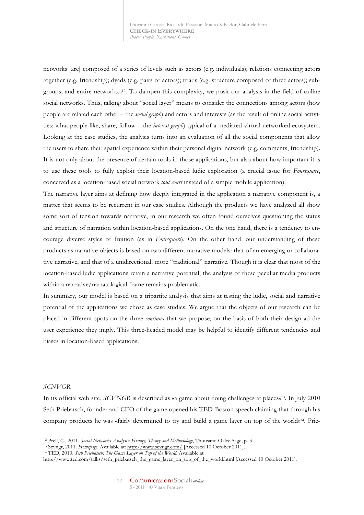networks [are] composed of a series of levels such as actors (e.g. individuals); relations connecting actors together (e.g. friendship); dyads (e.g. pairs of actors); triads (e.g. structure composed of three actors); subgroups; and entire networks.»12. To dampen this complexity, we posit our analysis in the field of online social networks. Thus, talking about "social layer" means to consider the connections among actors (how people are related each other – the *social graph*) and actors and interests (as the result of online social activities: what people like, share, follow – the *interest graph*) typical of a mediated virtual networked ecosystem. Looking at the case studies, the analysis turns into an evaluation of all the social components that allow the users to share their spatial experience within their personal digital network (e.g. comments, friendship). It is not only about the presence of certain tools in those applications, but also about how important it is to use these tools to fully exploit their location-based ludic exploration (a crucial issue for *Foursquare*, conceived as a location-based social network *tout court* instead of a simple mobile application).

The narrative layer aims at defining how deeply integrated in the application a narrative component is, a matter that seems to be recurrent in our case studies. Although the products we have analyzed all show some sort of tension towards narrative, in our research we often found ourselves questioning the status and structure of narration within location-based applications. On the one hand, there is a tendency to encourage diverse styles of fruition (as in *Foursquare*). On the other hand, our understanding of these products as narrative objects is based on two different narrative models: that of an emerging or collaborative narrative, and that of a unidirectional, more "traditional" narrative. Though it is clear that most of the location-based ludic applications retain a narrative potential, the analysis of these peculiar media products within a narrative/narratological frame remains problematic.

In summary, our model is based on a tripartite analysis that aims at testing the ludic, social and narrative potential of the applications we chose as case studies. We argue that the objects of our research can be placed in different spots on the three *continua* that we propose, on the basis of both their design ad the user experience they imply. This three-headed model may be helpful to identify different tendencies and biases in location-based applications.

## *SCNVGR*

 $\overline{a}$ 

In its official web site, *SCVNGR* is described as «a game about doing challenges at places»13. In July 2010 Seth Priebatsch, founder and CEO of the game opened his TED-Boston speech claiming that through his company products he was «fairly determined to try and build a game layer on top of the world»14. Prie-

<sup>13</sup> Scvngr, 2011. *Homepage*. Available at: http://www.scvngr.com/ [Accessed 10 October 2011].

<sup>14</sup> TED, 2010. *Seth Priebatsch: The Game Layer on Top of the World*. Available at

<sup>12</sup> Prell, C., 2011. *Social Networks Analysis: History, Theory and Methodology*, Thousand Oaks: Sage, p. 3.

http://www.ted.com/talks/seth\_priebatsch\_the\_game\_layer\_on\_top\_of\_the\_world.html [Accessed 10 October 2011].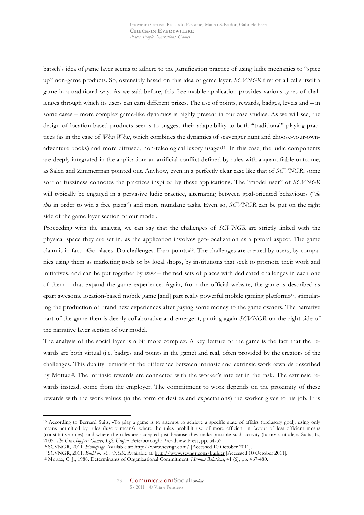batsch's idea of game layer seems to adhere to the gamification practice of using ludic mechanics to "spice up" non-game products. So, ostensibly based on this idea of game layer, *SCVNGR* first of all calls itself a game in a traditional way. As we said before, this free mobile application provides various types of challenges through which its users can earn different prizes. The use of points, rewards, badges, levels and – in some cases – more complex game-like dynamics is highly present in our case studies. As we will see, the design of location-based products seems to suggest their adaptability to both "traditional" playing practices (as in the case of *Whai Whai*, which combines the dynamics of scavenger hunt and choose-your-ownadventure books) and more diffused, non-teleological lusory usages15. In this case, the ludic components are deeply integrated in the application: an artificial conflict defined by rules with a quantifiable outcome, as Salen and Zimmerman pointed out. Anyhow, even in a perfectly clear case like that of *SCVNGR*, some sort of fuzziness connotes the practices inspired by these applications. The "model user" of *SCVNGR* will typically be engaged in a pervasive ludic practice, alternating between goal-oriented behaviours ("*do this* in order to win a free pizza") and more mundane tasks. Even so, *SCVNGR* can be put on the right side of the game layer section of our model.

Proceeding with the analysis, we can say that the challenges of *SCVNGR* are strictly linked with the physical space they are set in, as the application involves geo-localization as a pivotal aspect. The game claim is in fact: «Go places. Do challenges. Earn points»16. The challenges are created by users, by companies using them as marketing tools or by local shops, by institutions that seek to promote their work and initiatives, and can be put together by *treks* – themed sets of places with dedicated challenges in each one of them – that expand the game experience. Again, from the official website, the game is described as «part awesome location-based mobile game [and] part really powerful mobile gaming platform»17, stimulating the production of brand new experiences after paying some money to the game owners. The narrative part of the game then is deeply collaborative and emergent, putting again *SCVNGR* on the right side of the narrative layer section of our model.

The analysis of the social layer is a bit more complex. A key feature of the game is the fact that the rewards are both virtual (i.e. badges and points in the game) and real, often provided by the creators of the challenges. This duality reminds of the difference between intrinsic and extrinsic work rewards described by Mottaz18. The intrinsic rewards are connected with the worker's interest in the task. The extrinsic rewards instead, come from the employer. The commitment to work depends on the proximity of these rewards with the work values (in the form of desires and expectations) the worker gives to his job. It is

<sup>15</sup> According to Bernard Suits, «To play a game is to attempt to achieve a specific state of affairs (prelusory goal), using only means permitted by rules (lusory means), where the rules prohibit use of more efficient in favour of less efficient means (constitutive rules), and where the rules are accepted just because they make possible such activity (lusory attitude)». Suits, B., 2005. *The Grasshopper: Games, Life, Utopia*. Peterborough: Broadview Press, pp. 54-55.

<sup>16</sup> SCVNGR, 2011. *Homepage*. Available at: http://www.scvngr.com/ [Accessed 10 October 2011].

<sup>17</sup> SCVNGR, 2011. *Build on SCVNGR*. Available at: http://www.scvngr.com/builder [Accessed 10 October 2011].

<sup>18</sup> Mottaz, C. J., 1988. Determinants of Organizational Commitment. *Human Relations*, 41 (6), pp. 467-480.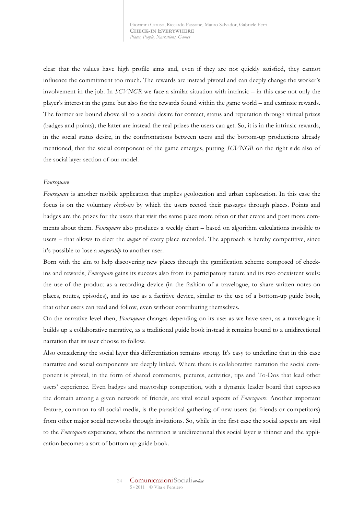clear that the values have high profile aims and, even if they are not quickly satisfied, they cannot influence the commitment too much. The rewards are instead pivotal and can deeply change the worker's involvement in the job. In *SCVNGR* we face a similar situation with intrinsic – in this case not only the player's interest in the game but also for the rewards found within the game world – and extrinsic rewards. The former are bound above all to a social desire for contact, status and reputation through virtual prizes (badges and points); the latter are instead the real prizes the users can get. So, it is in the intrinsic rewards, in the social status desire, in the confrontations between users and the bottom-up productions already mentioned, that the social component of the game emerges, putting *SCVNGR* on the right side also of the social layer section of our model.

#### *Foursquare*

*Foursquare* is another mobile application that implies geolocation and urban exploration. In this case the focus is on the voluntary *check-ins* by which the users record their passages through places. Points and badges are the prizes for the users that visit the same place more often or that create and post more comments about them. *Foursquare* also produces a weekly chart – based on algorithm calculations invisible to users – that allows to elect the *mayor* of every place recorded. The approach is hereby competitive, since it's possible to lose a *mayorship* to another user.

Born with the aim to help discovering new places through the gamification scheme composed of checkins and rewards, *Foursquare* gains its success also from its participatory nature and its two coexistent souls: the use of the product as a recording device (in the fashion of a travelogue, to share written notes on places, routes, episodes), and its use as a factitive device, similar to the use of a bottom-up guide book, that other users can read and follow, even without contributing themselves.

On the narrative level then, *Foursquare* changes depending on its use: as we have seen, as a travelogue it builds up a collaborative narrative, as a traditional guide book instead it remains bound to a unidirectional narration that its user choose to follow.

Also considering the social layer this differentiation remains strong. It's easy to underline that in this case narrative and social components are deeply linked. Where there is collaborative narration the social component is pivotal, in the form of shared comments, pictures, activities, tips and To-Dos that lead other users' experience. Even badges and mayorship competition, with a dynamic leader board that expresses the domain among a given network of friends, are vital social aspects of *Foursquare*. Another important feature, common to all social media, is the parasitical gathering of new users (as friends or competitors) from other major social networks through invitations. So, while in the first case the social aspects are vital to the *Foursquare* experience, where the narration is unidirectional this social layer is thinner and the application becomes a sort of bottom up guide book.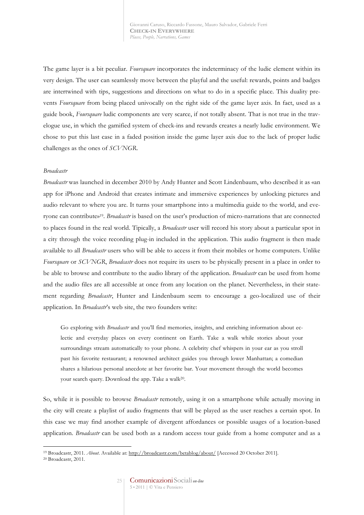The game layer is a bit peculiar. *Foursquare* incorporates the indeterminacy of the ludic element within its very design. The user can seamlessly move between the playful and the useful: rewards, points and badges are intertwined with tips, suggestions and directions on what to do in a specific place. This duality prevents *Foursquare* from being placed univocally on the right side of the game layer axis. In fact, used as a guide book, *Foursquare* ludic components are very scarce, if not totally absent. That is not true in the travelogue use, in which the gamified system of check-ins and rewards creates a nearly ludic environment. We chose to put this last case in a faded position inside the game layer axis due to the lack of proper ludic challenges as the ones of *SCVNGR*.

## *Broadcastr*

*Broadcastr* was launched in december 2010 by Andy Hunter and Scott Lindenbaum, who described it as «an app for iPhone and Android that creates intimate and immersive experiences by unlocking pictures and audio relevant to where you are. It turns your smartphone into a multimedia guide to the world, and everyone can contribute»19. *Broadcastr* is based on the user's production of micro-narrations that are connected to places found in the real world. Tipically, a *Broadcastr* user will record his story about a particular spot in a city through the voice recording plug-in included in the application. This audio fragment is then made available to all *Broadcastr* users who will be able to access it from their mobiles or home computers. Unlike *Foursquare* or *SCVNGR*, *Broadcastr* does not require its users to be physically present in a place in order to be able to browse and contribute to the audio library of the application. *Broadcastr* can be used from home and the audio files are all accessible at once from any location on the planet. Nevertheless, in their statement regarding *Broadcastr*, Hunter and Lindenbaum seem to encourage a geo-localized use of their application. In *Broadcastr*'s web site, the two founders write:

Go exploring with *Broadcastr* and you'll find memories, insights, and enriching information about eclectic and everyday places on every continent on Earth. Take a walk while stories about your surroundings stream automatically to your phone. A celebrity chef whispers in your ear as you stroll past his favorite restaurant; a renowned architect guides you through lower Manhattan; a comedian shares a hilarious personal anecdote at her favorite bar. Your movement through the world becomes your search query. Download the app. Take a walk<sup>20</sup>.

So, while it is possible to browse *Broadcastr* remotely, using it on a smartphone while actually moving in the city will create a playlist of audio fragments that will be played as the user reaches a certain spot. In this case we may find another example of divergent affordances or possible usages of a location-based application. *Broadcastr* can be used both as a random access tour guide from a home computer and as a

 $\overline{a}$ <sup>19</sup> Broadcastr, 2011. *About*. Available at: http://broadcastr.com/betablog/about/ [Accessed 20 October 2011].

<sup>20</sup> Broadcastr, 2011.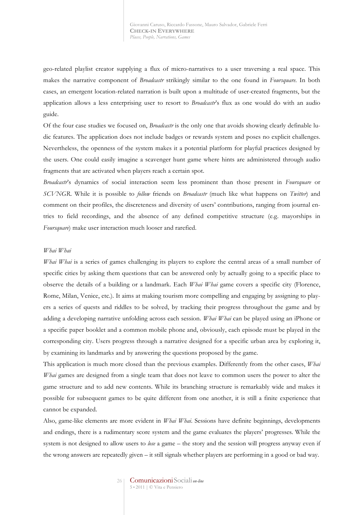geo-related playlist creator supplying a flux of micro-narratives to a user traversing a real space. This makes the narrative component of *Broadcastr* strikingly similar to the one found in *Foursquare*. In both cases, an emergent location-related narration is built upon a multitude of user-created fragments, but the application allows a less enterprising user to resort to *Broadcastr*'s flux as one would do with an audio guide.

Of the four case studies we focused on, *Broadcastr* is the only one that avoids showing clearly definable ludic features. The application does not include badges or rewards system and poses no explicit challenges. Nevertheless, the openness of the system makes it a potential platform for playful practices designed by the users. One could easily imagine a scavenger hunt game where hints are administered through audio fragments that are activated when players reach a certain spot.

*Broadcastr*'s dynamics of social interaction seem less prominent than those present in *Foursquare* or *SCVNGR*. While it is possible to *follow* friends on *Broadcastr* (much like what happens on *Twitter*) and comment on their profiles, the discreteness and diversity of users' contributions, ranging from journal entries to field recordings, and the absence of any defined competitive structure (e.g. mayorships in *Foursquare*) make user interaction much looser and rarefied.

### *Whai Whai*

*Whai Whai* is a series of games challenging its players to explore the central areas of a small number of specific cities by asking them questions that can be answered only by actually going to a specific place to observe the details of a building or a landmark. Each *Whai Whai* game covers a specific city (Florence, Rome, Milan, Venice, etc.). It aims at making tourism more compelling and engaging by assigning to players a series of quests and riddles to be solved, by tracking their progress throughout the game and by adding a developing narrative unfolding across each session. *Whai Whai* can be played using an iPhone or a specific paper booklet and a common mobile phone and, obviously, each episode must be played in the corresponding city. Users progress through a narrative designed for a specific urban area by exploring it, by examining its landmarks and by answering the questions proposed by the game.

This application is much more closed than the previous examples. Differently from the other cases, *Whai Whai* games are designed from a single team that does not leave to common users the power to alter the game structure and to add new contents. While its branching structure is remarkably wide and makes it possible for subsequent games to be quite different from one another, it is still a finite experience that cannot be expanded.

Also, game-like elements are more evident in *Whai Whai*. Sessions have definite beginnings, developments and endings, there is a rudimentary score system and the game evaluates the players' progresses. While the system is not designed to allow users to *lose* a game – the story and the session will progress anyway even if the wrong answers are repeatedly given – it still signals whether players are performing in a good or bad way.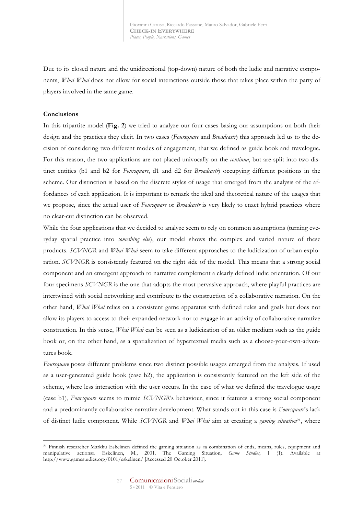Due to its closed nature and the unidirectional (top-down) nature of both the ludic and narrative components, *Whai Whai* does not allow for social interactions outside those that takes place within the party of players involved in the same game.

## **Conclusions**

 $\overline{a}$ 

In this tripartite model (**Fig. 2**) we tried to analyze our four cases basing our assumptions on both their design and the practices they elicit. In two cases (*Foursquare* and *Broadcastr*) this approach led us to the decision of considering two different modes of engagement, that we defined as guide book and travelogue. For this reason, the two applications are not placed univocally on the *continua*, but are split into two distinct entities (b1 and b2 for *Foursquare*, d1 and d2 for *Broadcastr*) occupying different positions in the scheme. Our distinction is based on the discrete styles of usage that emerged from the analysis of the affordances of each application. It is important to remark the ideal and theoretical nature of the usages that we propose, since the actual user of *Foursquare* or *Broadcastr* is very likely to enact hybrid practices where no clear-cut distinction can be observed.

While the four applications that we decided to analyze seem to rely on common assumptions (turning everyday spatial practice into *something else*), our model shows the complex and varied nature of these products. *SCVNGR* and *Whai Whai* seem to take different approaches to the ludicization of urban exploration. *SCVNGR* is consistently featured on the right side of the model. This means that a strong social component and an emergent approach to narrative complement a clearly defined ludic orientation. Of our four specimens *SCVNGR* is the one that adopts the most pervasive approach, where playful practices are intertwined with social networking and contribute to the construction of a collaborative narration. On the other hand, *Whai Whai* relies on a consistent game apparatus with defined rules and goals but does not allow its players to access to their expanded network nor to engage in an activity of collaborative narrative construction. In this sense, *Whai Whai* can be seen as a ludicization of an older medium such as the guide book or, on the other hand, as a spatialization of hypertextual media such as a choose-your-own-adventures book.

*Foursquare* poses different problems since two distinct possible usages emerged from the analysis. If used as a user-generated guide book (case b2), the application is consistently featured on the left side of the scheme, where less interaction with the user occurs. In the case of what we defined the travelogue usage (case b1), *Foursquare* seems to mimic *SCVNGR*'s behaviour, since it features a strong social component and a predominantly collaborative narrative development. What stands out in this case is *Foursquare*'s lack of distinct ludic component. While *SCVNGR* and *Whai Whai* aim at creating a *gaming situation*21, where

<sup>21</sup> Finnish researcher Markku Eskelinen defined the gaming situation as «a combination of ends, means, rules, equipment and manipulative actions». Eskelinen, M., 2001. The Gaming Situation, *Game Studies*, 1 (1). Available at http://www.gamestudies.org/0101/eskelinen/ [Accessed 20 October 2011].